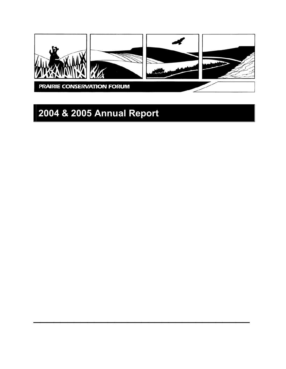

 $\mathcal{L}_\text{max}$  and  $\mathcal{L}_\text{max}$  and  $\mathcal{L}_\text{max}$  and  $\mathcal{L}_\text{max}$  and  $\mathcal{L}_\text{max}$ 

# **2004 & 2005 Annual Report**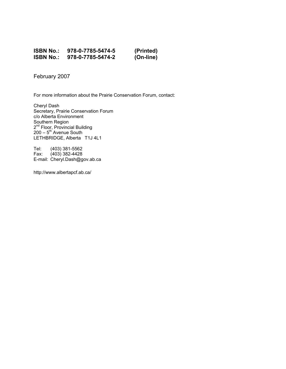#### **ISBN No.: 978-0-7785-5474-5 (Printed) ISBN No.: 978-0-7785-5474-2**

February 2007

For more information about the Prairie Conservation Forum, contact:

Cheryl Dash Secretary, Prairie Conservation Forum c/o Alberta Environment Southern Region 2<sup>nd</sup> Floor, Provincial Building  $200 - 5$ <sup>th</sup> Avenue South LETHBRIDGE, Alberta T1J 4L1

Tel: (403) 381-5562 Fax: (403) 382-4428 E-mail: Cheryl.Dash@gov.ab.ca

http://www.albertapcf.ab.ca/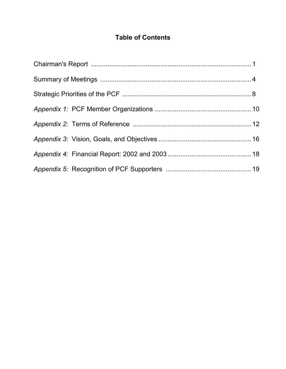# **Table of Contents**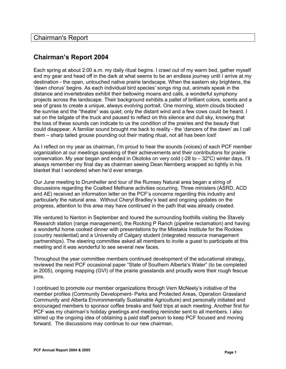# **Chairman's Report 2004**

Each spring at about 2:00 a.m. my daily ritual begins. I crawl out of my warm bed, gather myself and my gear and head off in the dark at what seems to be an endless journey until I arrive at my destination - the open, untouched native prairie landscape. When the eastern sky brightens, the 'dawn chorus' begins. As each individual bird species' songs ring out, animals speak in the distance and invertebrates exhibit their bellowing moans and calls, a wonderful symphony projects across the landscape. Their background exhibits a pallet of brilliant colors, scents and a sea of grass to create a unique, always evolving portrait. One morning, storm clouds blocked the sunrise and the "theatre" was quiet; only the distant wind and a few cows could be heard. I sat on the tailgate of the truck and paused to reflect on this silence and dull sky, knowing that the loss of these sounds can indicate to us the condition of the prairies and the beauty that could disappear. A familiar sound brought me back to reality - the 'dancers of the dawn' as I call them – sharp tailed grouse pounding out their mating ritual, not all has been lost!

As I reflect on my year as chairman, I'm proud to hear the sounds (voices) of each PCF member organization at our meetings speaking of their achievements and their contributions for prairie conservation. My year began and ended in Okotoks on very cold (-28 to  $-32^{\circ}$ C) winter days. I'll always remember my final day as chairman seeing Dean Nernberg wrapped so tightly in his blanket that I wondered when he'd ever emerge.

Our June meeting to Drumheller and tour of the Rumsey Natural area began a string of discussions regarding the Coalbed Methane activities occurring. Three ministers (ASRD, ACD and AE) received an information letter on the PCF's concerns regarding this industry and particularly the natural area. Without Cheryl Bradley's lead and ongoing updates on the progress, attention to this area may have continued in the path that was already created.

We ventured to Nanton in September and toured the surrounding foothills visiting the Stavely Research station (range management), the Rocking P Ranch (pipeline reclamation) and having a wonderful home cooked dinner with presentations by the Miistakis Institute for the Rockies (country residential) and a University of Calgary student (integrated resource management partnerships). The steering committee asked all members to invite a guest to participate at this meeting and it was wonderful to see several new faces.

Throughout the year committee members continued development of the educational strategy, reviewed the next PCF occasional paper "State of Southern Alberta's Water" (to be completed in 2005), ongoing mapping (GVI) of the prairie grasslands and proudly wore their rough fescue pins.

I continued to promote our member organizations through Vern McNeely's initiative of the member profiles (Community Development- Parks and Protected Areas, Operation Grassland Community and Alberta Environmentally Sustainable Agriculture) and personally initiated and encouraged members to sponsor coffee breaks and field trips at each meeting. Another first for PCF was my chairman's holiday greetings and meeting reminder sent to all members. I also stirred up the ongoing idea of obtaining a paid staff person to keep PCF focused and moving forward. The discussions may continue to our new chairman.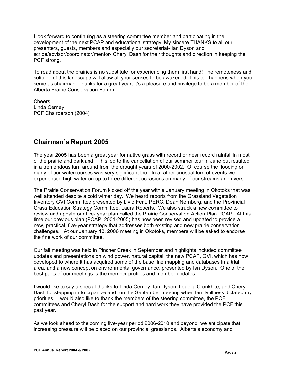I look forward to continuing as a steering committee member and participating in the development of the next PCAP and educational strategy. My sincere THANKS to all our presenters, guests, members and especially our secretariat- Ian Dyson and scribe/advisor/coordinator/mentor- Cheryl Dash for their thoughts and direction in keeping the PCF strong.

To read about the prairies is no substitute for experiencing them first hand! The remoteness and solitude of this landscape will allow all your senses to be awakened. This too happens when you serve as chairman. Thanks for a great year; it's a pleasure and privilege to be a member of the Alberta Prairie Conservation Forum.

Cheers! Linda Cerney PCF Chairperson (2004)

# **Chairman's Report 2005**

The year 2005 has been a great year for native grass with record or near record rainfall in most of the prairie and parkland. This led to the cancellation of our summer tour in June but resulted in a tremendous turn around from the drought years of 2000-2002. Of course the flooding on many of our watercourses was very significant too. In a rather unusual turn of events we experienced high water on up to three different occasions on many of our streams and rivers.

The Prairie Conservation Forum kicked off the year with a January meeting in Okotoks that was well attended despite a cold winter day. We heard reports from the Grassland Vegetation Inventory GVI Committee presented by Livio Fent, PERC, Dean Nernberg, and the Provincial Grass Education Strategy Committee, Laura Roberts. We also struck a new committee to review and update our five- year plan called the Prairie Conservation Action Plan PCAP. At this time our previous plan (PCAP: 2001-2005) has now been revised and updated to provide a new, practical, five-year strategy that addresses both existing and new prairie conservation challenges.At our January 13, 2006 meeting in Okotoks, members will be asked to endorse the fine work of our committee.

Our fall meeting was held in Pincher Creek in September and highlights included committee updates and presentations on wind power, natural capital, the new PCAP, GVI, which has now developed to where it has acquired some of the base line mapping and databases in a trial area, and a new concept on environmental governance, presented by Ian Dyson. One of the best parts of our meetings is the member profiles and member updates.

I would like to say a special thanks to Linda Cerney, Ian Dyson, Louella Cronkhite, and Cheryl Dash for stepping in to organize and run the September meeting when family illness dictated my priorities. I would also like to thank the members of the steering committee, the PCF committees and Cheryl Dash for the support and hard work they have provided the PCF this past year.

As we look ahead to the coming five-year period 2006-2010 and beyond, we anticipate that increasing pressure will be placed on our provincial grasslands. Alberta's economy and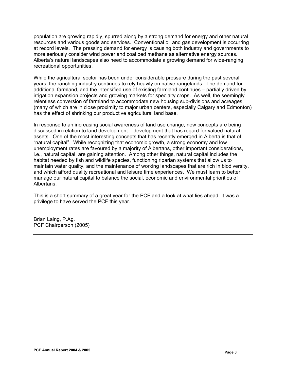population are growing rapidly, spurred along by a strong demand for energy and other natural resources and various goods and services. Conventional oil and gas development is occurring at record levels. The pressing demand for energy is causing both industry and governments to more seriously consider wind power and coal bed methane as alternative energy sources. Alberta's natural landscapes also need to accommodate a growing demand for wide-ranging recreational opportunities.

While the agricultural sector has been under considerable pressure during the past several years, the ranching industry continues to rely heavily on native rangelands. The demand for additional farmland, and the intensified use of existing farmland continues – partially driven by irrigation expansion projects and growing markets for specialty crops. As well, the seemingly relentless conversion of farmland to accommodate new housing sub-divisions and acreages (many of which are in close proximity to major urban centers, especially Calgary and Edmonton) has the effect of shrinking our productive agricultural land base.

In response to an increasing social awareness of land use change, new concepts are being discussed in relation to land development – development that has regard for valued natural assets. One of the most interesting concepts that has recently emerged in Alberta is that of "natural capital". While recognizing that economic growth, a strong economy and low unemployment rates are favoured by a majority of Albertans, other important considerations, i.e., natural capital, are gaining attention. Among other things, natural capital includes the habitat needed by fish and wildlife species, functioning riparian systems that allow us to maintain water quality, and the maintenance of working landscapes that are rich in biodiversity, and which afford quality recreational and leisure time experiences. We must learn to better manage our natural capital to balance the social, economic and environmental priorities of Albertans.

This is a short summary of a great year for the PCF and a look at what lies ahead. It was a privilege to have served the PCF this year.

Brian Laing, P.Ag. PCF Chairperson (2005)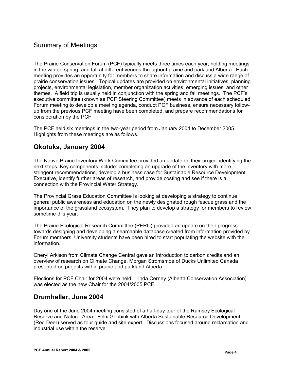### Summary of Meetings

The Prairie Conservation Forum (PCF) typically meets three times each year, holding meetings in the winter, spring, and fall at different venues throughout prairie and parkland Alberta. Each meeting provides an opportunity for members to share information and discuss a wide range of prairie conservation issues. Topical updates are provided on environmental initiatives, planning projects, environmental legislation, member organization activities, emerging issues, and other themes. A field trip is usually held in conjunction with the spring and fall meetings. The PCF's executive committee (known as PCF Steering Committee) meets in advance of each scheduled Forum meeting to develop a meeting agenda, conduct PCF business, ensure necessary followup from the previous PCF meeting have been completed, and prepare recommendations for consideration by the PCF.

The PCF held six meetings in the two-year period from January 2004 to December 2005. Highlights from these meetings are as follows.

# **Okotoks, January 2004**

The Native Prairie Inventory Work Committee provided an update on their project identifying the next steps. Key components include: completing an upgrade of the inventory with more stringent recommendations, develop a business case for Sustainable Resource Development Executive, identify further areas of research, and provide costing and see if there is a connection with the Provincial Water Strategy.

The Provincial Grass Education Committee is looking at developing a strategy to continue general public awareness and education on the newly designated rough fescue grass and the importance of the grassland ecosystem. They plan to develop a strategy for members to review sometime this year.

The Prairie Ecological Research Committee (PERC) provided an update on their progress towards designing and developing a searchable database created from information provided by Forum members. University students have been hired to start populating the website with the information.

Cheryl Arkison from Climate Change Central gave an introduction to carbon credits and an overview of research on Climate Change. Morgan Stromsmoe of Ducks Unlimited Canada presented on projects within prairie and parkland Alberta.

Elections for PCF Chair for 2004 were held. Linda Cerney (Alberta Conservation Association) was elected as the new Chair for the 2004/2005 PCF.

# **Drumheller, June 2004**

Day one of the June 2004 meeting consisted of a half-day tour of the Rumsey Ecological Reserve and Natural Area. Felix Gebbink with Alberta Sustainable Resource Development (Red Deer) served as tour guide and site expert. Discussions focused around reclamation and industrial use within the reserve.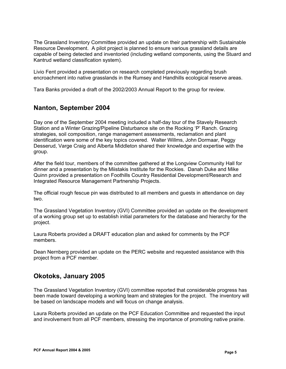The Grassland Inventory Committee provided an update on their partnership with Sustainable Resource Development. A pilot project is planned to ensure various grassland details are capable of being detected and inventoried (including wetland components, using the Stuard and Kantrud wetland classification system).

Livio Fent provided a presentation on research completed previously regarding brush encroachment into native grasslands in the Rumsey and Handhills ecological reserve areas.

Tara Banks provided a draft of the 2002/2003 Annual Report to the group for review.

# **Nanton, September 2004**

Day one of the September 2004 meeting included a half-day tour of the Stavely Research Station and a Winter Grazing/Pipeline Disturbance site on the Rocking 'P' Ranch. Grazing strategies, soil composition, range management assessments, reclamation and plant identification were some of the key topics covered. Walter Willms, John Dormaar, Peggy Desserud, Varge Craig and Alberta Middleton shared their knowledge and expertise with the group.

After the field tour, members of the committee gathered at the Longview Community Hall for dinner and a presentation by the Miistakis Institute for the Rockies. Danah Duke and Mike Quinn provided a presentation on Foothills Country Residential Development/Research and Integrated Resource Management Partnership Projects.

The official rough fescue pin was distributed to all members and guests in attendance on day two.

The Grassland Vegetation Inventory (GVI) Committee provided an update on the development of a working group set up to establish initial parameters for the database and hierarchy for the project.

Laura Roberts provided a DRAFT education plan and asked for comments by the PCF members.

Dean Nernberg provided an update on the PERC website and requested assistance with this project from a PCF member.

# **Okotoks, January 2005**

The Grassland Vegetation Inventory (GVI) committee reported that considerable progress has been made toward developing a working team and strategies for the project. The inventory will be based on landscape models and will focus on change analysis.

Laura Roberts provided an update on the PCF Education Committee and requested the input and involvement from all PCF members, stressing the importance of promoting native prairie.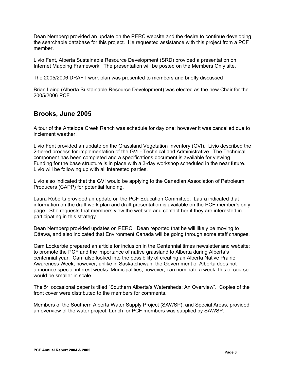Dean Nernberg provided an update on the PERC website and the desire to continue developing the searchable database for this project. He requested assistance with this project from a PCF member.

Livio Fent, Alberta Sustainable Resource Development (SRD) provided a presentation on Internet Mapping Framework. The presentation will be posted on the Members Only site.

The 2005/2006 DRAFT work plan was presented to members and briefly discussed

Brian Laing (Alberta Sustainable Resource Development) was elected as the new Chair for the 2005/2006 PCF.

# **Brooks, June 2005**

A tour of the Antelope Creek Ranch was schedule for day one; however it was cancelled due to inclement weather.

Livio Fent provided an update on the Grassland Vegetation Inventory (GVI). Livio described the 2-tiered process for implementation of the GVI - Technical and Administrative. The Technical component has been completed and a specifications document is available for viewing. Funding for the base structure is in place with a 3-day workshop scheduled in the near future. Livio will be following up with all interested parties.

Livio also indicated that the GVI would be applying to the Canadian Association of Petroleum Producers (CAPP) for potential funding.

Laura Roberts provided an update on the PCF Education Committee. Laura indicated that information on the draft work plan and draft presentation is available on the PCF member's only page. She requests that members view the website and contact her if they are interested in participating in this strategy.

Dean Nernberg provided updates on PERC. Dean reported that he will likely be moving to Ottawa, and also indicated that Environment Canada will be going through some staff changes.

Cam Lockerbie prepared an article for inclusion in the Centennial times newsletter and website; to promote the PCF and the importance of native grassland to Alberta during Alberta's centennial year. Cam also looked into the possibility of creating an Alberta Native Prairie Awareness Week, however, unlike in Saskatchewan, the Government of Alberta does not announce special interest weeks. Municipalities, however, can nominate a week; this of course would be smaller in scale.

The 5<sup>th</sup> occasional paper is titled "Southern Alberta's Watersheds: An Overview". Copies of the front cover were distributed to the members for comments.

Members of the Southern Alberta Water Supply Project (SAWSP), and Special Areas, provided an overview of the water project. Lunch for PCF members was supplied by SAWSP.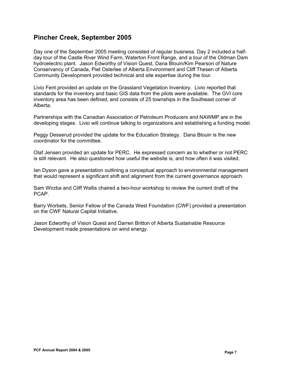### **Pincher Creek, September 2005**

Day one of the September 2005 meeting consisted of regular business. Day 2 included a halfday tour of the Castle River Wind Farm, Waterton Front Range, and a tour of the Oldman Dam hydroelectric plant. Jason Edworthy of Vision Quest, Dana Blouin/Kim Pearson of Nature Conservancy of Canada, Piet Osterlee of Alberta Environment and Cliff Thesen of Alberta Community Development provided technical and site expertise during the tour.

Livio Fent provided an update on the Grassland Vegetation Inventory. Livio reported that standards for the inventory and basic GIS data from the pilots were available. The GVI core inventory area has been defined, and consists of 25 townships in the Southeast corner of Alberta.

Partnerships with the Canadian Association of Petroleum Producers and NAWMP are in the developing stages. Livio will continue talking to organizations and establishing a funding model.

Peggy Desserud provided the update for the Education Strategy. Dana Blouin is the new coordinator for the committee.

Olaf Jensen provided an update for PERC. He expressed concern as to whether or not PERC is still relevant. He also questioned how useful the website is, and how often it was visited.

Ian Dyson gave a presentation outlining a conceptual approach to environmental management that would represent a significant shift and alignment from the current governance approach.

Sam Wirzba and Cliff Wallis chaired a two-hour workshop to review the current draft of the PCAP.

Barry Worbets, Senior Fellow of the Canada West Foundation (CWF) provided a presentation on the CWF Natural Capital Initiative.

Jason Edworthy of Vision Quest and Darren Britton of Alberta Sustainable Resource Development made presentations on wind energy.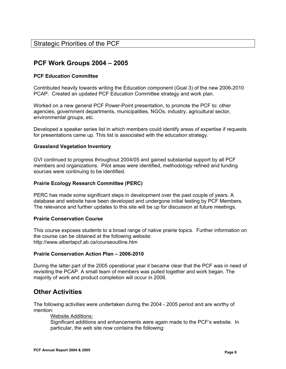# **PCF Work Groups 2004 – 2005**

#### **PCF Education Committee**

Contributed heavily towards writing the Education component (Goal 3) of the new 2006-2010 PCAP. Created an updated PCF Education Committee strategy and work plan.

Worked on a new general PCF Power-Point presentation, to promote the PCF to: other agencies, government departments, municipalities, NGOs, industry, agricultural sector, environmental groups, etc.

Developed a speaker series list in which members could identify areas of expertise if requests for presentations came up. This list is associated with the education strategy.

#### **Grassland Vegetation Inventory**

GVI continued to progress throughout 2004/05 and gained substantial support by all PCF members and organizations. Pilot areas were identified, methodology refined and funding sources were continuing to be identified.

#### **Prairie Ecology Research Committee (PERC)**

PERC has made some significant steps in development over the past couple of years. A database and website have been developed and undergone initial testing by PCF Members. The relevance and further updates to this site will be up for discussion at future meetings.

#### **Prairie Conservation Course**

This course exposes students to a broad range of native prairie topics. Further information on the course can be obtained at the following website: http://www.albertapcf.ab.ca/courseoutline.htm

#### **Prairie Conservation Action Plan – 2006-2010**

During the latter part of the 2005 operational year it became clear that the PCF was in need of revisiting the PCAP. A small team of members was pulled together and work began. The majority of work and product completion will occur in 2006.

#### **Other Activities**

The following activities were undertaken during the 2004 - 2005 period and are worthy of mention:

#### Website Additions:

Significant additions and enhancements were again made to the PCF's website. In particular, the web site now contains the following: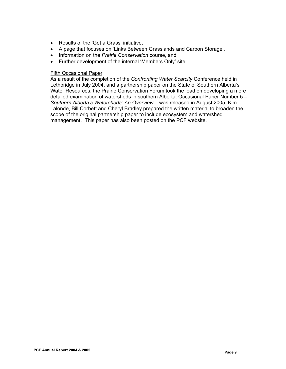- Results of the 'Get a Grass' initiative,
- A page that focuses on 'Links Between Grasslands and Carbon Storage',
- Information on the *Prairie Conservation* course, and
- Further development of the internal 'Members Only' site.

#### Fifth Occasional Paper

As a result of the completion of the *Confronting Water Scarcity* Conference held in Lethbridge in July 2004, and a partnership paper on the State of Southern Alberta's Water Resources, the Prairie Conservation Forum took the lead on developing a more detailed examination of watersheds in southern Alberta. Occasional Paper Number 5 – *Southern Alberta's Watersheds: An Overview* – was released in August 2005. Kim Lalonde, Bill Corbett and Cheryl Bradley prepared the written material to broaden the scope of the original partnership paper to include ecosystem and watershed management. This paper has also been posted on the PCF website.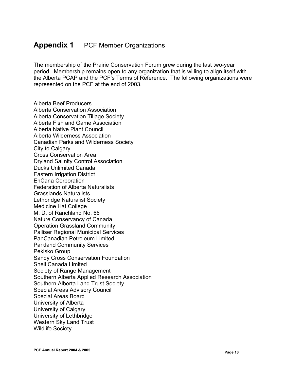# **Appendix 1** PCF Member Organizations

The membership of the Prairie Conservation Forum grew during the last two-year period. Membership remains open to any organization that is willing to align itself with the Alberta PCAP and the PCF's Terms of Reference. The following organizations were represented on the PCF at the end of 2003.

Alberta Beef Producers Alberta Conservation Association Alberta Conservation Tillage Society Alberta Fish and Game Association Alberta Native Plant Council Alberta Wilderness Association Canadian Parks and Wilderness Society City to Calgary Cross Conservation Area Dryland Salinity Control Association Ducks Unlimited Canada Eastern Irrigation District EnCana Corporation Federation of Alberta Naturalists Grasslands Naturalists Lethbridge Naturalist Society Medicine Hat College M. D. of Ranchland No. 66 Nature Conservancy of Canada Operation Grassland Community Palliser Regional Municipal Services PanCanadian Petroleum Limited Parkland Community Services Pekisko Group Sandy Cross Conservation Foundation Shell Canada Limited Society of Range Management Southern Alberta Applied Research Association Southern Alberta Land Trust Society Special Areas Advisory Council Special Areas Board University of Alberta University of Calgary University of Lethbridge Western Sky Land Trust Wildlife Society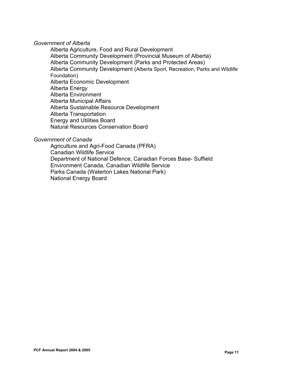#### *Government of Alberta*

Alberta Agriculture, Food and Rural Development Alberta Community Development (Provincial Museum of Alberta) Alberta Community Development (Parks and Protected Areas) Alberta Community Development (Alberta Sport, Recreation, Parks and Wildlife Foundation) Alberta Economic Development Alberta Energy Alberta Environment Alberta Municipal Affairs Alberta Sustainable Resource Development Alberta Transportation Energy and Utilities Board Natural Resources Conservation Board

#### *Government of Canada*

Agriculture and Agri-Food Canada (PFRA) Canadian Wildlife Service Department of National Defence, Canadian Forces Base- Suffield Environment Canada, Canadian Wildlife Service Parks Canada (Waterton Lakes National Park) National Energy Board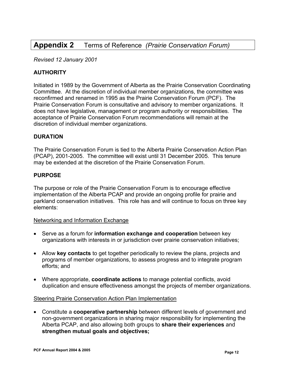# **Appendix 2** Terms of Reference *(Prairie Conservation Forum)*

*Revised 12 January 2001* 

#### **AUTHORITY**

Initiated in 1989 by the Government of Alberta as the Prairie Conservation Coordinating Committee. At the discretion of individual member organizations, the committee was reconfirmed and renamed in 1995 as the Prairie Conservation Forum (PCF). The Prairie Conservation Forum is consultative and advisory to member organizations. It does not have legislative, management or program authority or responsibilities. The acceptance of Prairie Conservation Forum recommendations will remain at the discretion of individual member organizations.

#### **DURATION**

The Prairie Conservation Forum is tied to the Alberta Prairie Conservation Action Plan (PCAP), 2001-2005. The committee will exist until 31 December 2005. This tenure may be extended at the discretion of the Prairie Conservation Forum.

#### **PURPOSE**

The purpose or role of the Prairie Conservation Forum is to encourage effective implementation of the Alberta PCAP and provide an ongoing profile for prairie and parkland conservation initiatives. This role has and will continue to focus on three key elements:

#### Networking and Information Exchange

- Serve as a forum for **information exchange and cooperation** between key organizations with interests in or jurisdiction over prairie conservation initiatives;
- Allow **key contacts** to get together periodically to review the plans, projects and programs of member organizations, to assess progress and to integrate program efforts; and
- Where appropriate, **coordinate actions** to manage potential conflicts, avoid duplication and ensure effectiveness amongst the projects of member organizations.

#### Steering Prairie Conservation Action Plan Implementation

• Constitute a **cooperative partnership** between different levels of government and non-government organizations in sharing major responsibility for implementing the Alberta PCAP, and also allowing both groups to **share their experiences** and **strengthen mutual goals and objectives;**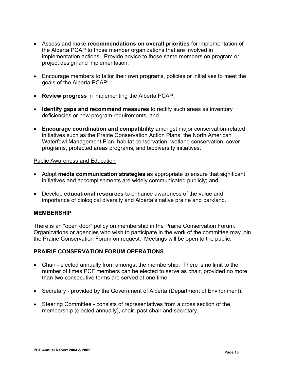- Assess and make **recommendations on overall priorities** for implementation of the Alberta PCAP to those member organizations that are involved in implementation actions. Provide advice to those same members on program or project design and implementation;
- Encourage members to tailor their own programs, policies or initiatives to meet the goals of the Alberta PCAP;
- **Review progress** in implementing the Alberta PCAP;
- **Identify gaps and recommend measures** to rectify such areas as inventory deficiencies or new program requirements; and
- **Encourage coordination and compatibility** amongst major conservation-related initiatives such as the Prairie Conservation Action Plans, the North American Waterfowl Management Plan, habitat conservation, wetland conservation, cover programs, protected areas programs, and biodiversity initiatives.

#### Public Awareness and Education

- Adopt **media communication strategies** as appropriate to ensure that significant initiatives and accomplishments are widely communicated publicly; and
- Develop **educational resources** to enhance awareness of the value and importance of biological diversity and Alberta's native prairie and parkland*.*

#### **MEMBERSHIP**

There is an "open door" policy on membership in the Prairie Conservation Forum. Organizations or agencies who wish to participate in the work of the committee may join the Prairie Conservation Forum on request. Meetings will be open to the public.

#### **PRAIRIE CONSERVATION FORUM OPERATIONS**

- Chair elected annually from amongst the membership. There is no limit to the number of times PCF members can be elected to serve as chair, provided no more than two consecutive terms are served at one time.
- Secretary provided by the Government of Alberta (Department of Environment).
- Steering Committee consists of representatives from a cross section of the membership (elected annually), chair, past chair and secretary.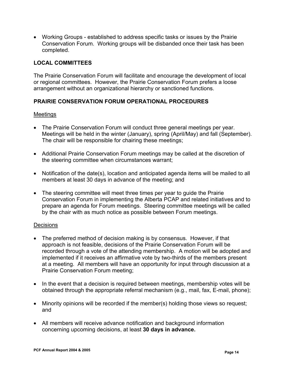• Working Groups - established to address specific tasks or issues by the Prairie Conservation Forum. Working groups will be disbanded once their task has been completed.

#### **LOCAL COMMITTEES**

The Prairie Conservation Forum will facilitate and encourage the development of local or regional committees. However, the Prairie Conservation Forum prefers a loose arrangement without an organizational hierarchy or sanctioned functions.

#### **PRAIRIE CONSERVATION FORUM OPERATIONAL PROCEDURES**

#### Meetings

- The Prairie Conservation Forum will conduct three general meetings per year. Meetings will be held in the winter (January), spring (April/May) and fall (September). The chair will be responsible for chairing these meetings;
- Additional Prairie Conservation Forum meetings may be called at the discretion of the steering committee when circumstances warrant;
- Notification of the date(s), location and anticipated agenda items will be mailed to all members at least 30 days in advance of the meeting; and
- The steering committee will meet three times per year to quide the Prairie Conservation Forum in implementing the Alberta PCAP and related initiatives and to prepare an agenda for Forum meetings. Steering committee meetings will be called by the chair with as much notice as possible between Forum meetings.

#### **Decisions**

- The preferred method of decision making is by consensus. However, if that approach is not feasible, decisions of the Prairie Conservation Forum will be recorded through a vote of the attending membership. A motion will be adopted and implemented if it receives an affirmative vote by two-thirds of the members present at a meeting. All members will have an opportunity for input through discussion at a Prairie Conservation Forum meeting;
- In the event that a decision is required between meetings, membership votes will be obtained through the appropriate referral mechanism (e.g., mail, fax, E-mail, phone);
- Minority opinions will be recorded if the member(s) holding those views so request; and
- All members will receive advance notification and background information concerning upcoming decisions, at least **30 days in advance.**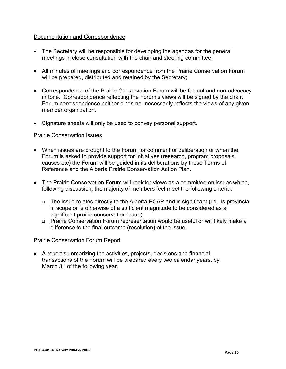#### Documentation and Correspondence

- The Secretary will be responsible for developing the agendas for the general meetings in close consultation with the chair and steering committee;
- All minutes of meetings and correspondence from the Prairie Conservation Forum will be prepared, distributed and retained by the Secretary;
- Correspondence of the Prairie Conservation Forum will be factual and non-advocacy in tone. Correspondence reflecting the Forum's views will be signed by the chair. Forum correspondence neither binds nor necessarily reflects the views of any given member organization.
- Signature sheets will only be used to convey personal support.

#### Prairie Conservation Issues

- When issues are brought to the Forum for comment or deliberation or when the Forum is asked to provide support for initiatives (research, program proposals, causes etc) the Forum will be guided in its deliberations by these Terms of Reference and the Alberta Prairie Conservation Action Plan.
- The Prairie Conservation Forum will register views as a committee on issues which, following discussion, the majority of members feel meet the following criteria:
	- □ The issue relates directly to the Alberta PCAP and is significant (i.e., is provincial in scope or is otherwise of a sufficient magnitude to be considered as a significant prairie conservation issue);
	- □ Prairie Conservation Forum representation would be useful or will likely make a difference to the final outcome (resolution) of the issue.

#### Prairie Conservation Forum Report

• A report summarizing the activities, projects, decisions and financial transactions of the Forum will be prepared every two calendar years, by March 31 of the following year.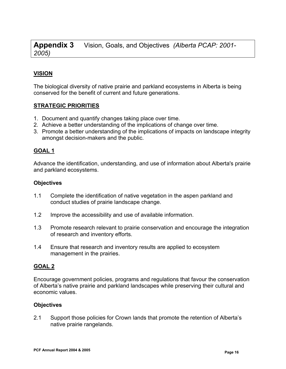**Appendix 3** Vision, Goals, and Objectives *(Alberta PCAP: 2001- 2005)*

### **VISION**

The biological diversity of native prairie and parkland ecosystems in Alberta is being conserved for the benefit of current and future generations.

#### **STRATEGIC PRIORITIES**

- 1. Document and quantify changes taking place over time.
- 2. Achieve a better understanding of the implications of change over time.
- 3. Promote a better understanding of the implications of impacts on landscape integrity amongst decision-makers and the public.

#### **GOAL 1**

Advance the identification, understanding, and use of information about Alberta's prairie and parkland ecosystems.

#### **Objectives**

- 1.1 Complete the identification of native vegetation in the aspen parkland and conduct studies of prairie landscape change.
- 1.2 Improve the accessibility and use of available information.
- 1.3 Promote research relevant to prairie conservation and encourage the integration of research and inventory efforts.
- 1.4 Ensure that research and inventory results are applied to ecosystem management in the prairies.

#### **GOAL 2**

Encourage government policies, programs and regulations that favour the conservation of Alberta's native prairie and parkland landscapes while preserving their cultural and economic values.

#### **Objectives**

2.1 Support those policies for Crown lands that promote the retention of Alberta's native prairie rangelands.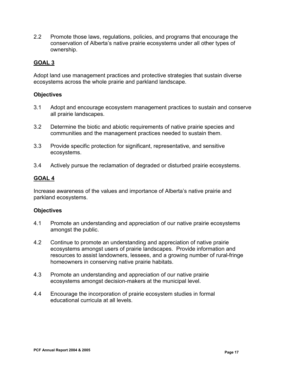2.2 Promote those laws, regulations, policies, and programs that encourage the conservation of Alberta's native prairie ecosystems under all other types of ownership.

#### **GOAL 3**

Adopt land use management practices and protective strategies that sustain diverse ecosystems across the whole prairie and parkland landscape.

#### **Objectives**

- 3.1 Adopt and encourage ecosystem management practices to sustain and conserve all prairie landscapes.
- 3.2 Determine the biotic and abiotic requirements of native prairie species and communities and the management practices needed to sustain them.
- 3.3 Provide specific protection for significant, representative, and sensitive ecosystems.
- 3.4 Actively pursue the reclamation of degraded or disturbed prairie ecosystems.

#### **GOAL 4**

Increase awareness of the values and importance of Alberta's native prairie and parkland ecosystems.

#### **Objectives**

- 4.1 Promote an understanding and appreciation of our native prairie ecosystems amongst the public.
- 4.2 Continue to promote an understanding and appreciation of native prairie ecosystems amongst users of prairie landscapes. Provide information and resources to assist landowners, lessees, and a growing number of rural-fringe homeowners in conserving native prairie habitats.
- 4.3 Promote an understanding and appreciation of our native prairie ecosystems amongst decision-makers at the municipal level.
- 4.4 Encourage the incorporation of prairie ecosystem studies in formal educational curricula at all levels.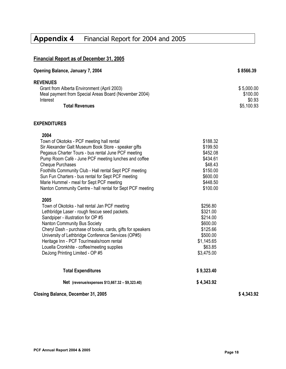# **Appendix 4** Financial Report for 2004 and 2005

# **Financial Report as of December 31, 2005**

| Opening Balance, January 7, 2004                      | \$8566.39  |
|-------------------------------------------------------|------------|
| <b>REVENUES</b>                                       |            |
| Grant from Alberta Environment (April 2003)           | \$5,000.00 |
| Meal payment from Special Areas Board (November 2004) | \$100.00   |
| Interest                                              | \$0.93     |
| <b>Total Revenues</b>                                 | \$5,100.93 |
| <b>EXPENDITURES</b>                                   |            |

#### **2004**

| Net (revenue/expenses \$13,667.32 - \$9,323.40)            | \$4,343.92 |
|------------------------------------------------------------|------------|
| <b>Total Expenditures</b>                                  | \$9,323.40 |
| DeJong Printing Limited - OP #5                            | \$3,475.00 |
| Louella Cronkhite - coffee/meeting supplies                | \$63.85    |
| Heritage Inn - PCF Tour/meals/room rental                  | \$1,145.65 |
| University of Lethbridge Conference Services (OP#5)        | \$500.00   |
| Cheryl Dash - purchase of books, cards, gifts for speakers | \$125.66   |
| <b>Nanton Community Bus Society</b>                        | \$600.00   |
| Sandpiper - illustration for OP #5                         | \$214.00   |
| Lethbridge Laser - rough fescue seed packets.              | \$321.00   |
| Town of Okotoks - hall rental Jan PCF meeting              | \$256.80   |
| 2005                                                       |            |
| Nanton Community Centre - hall rental for Sept PCF meeting | \$100.00   |
| Marie Hummel - meal for Sept PCF meeting                   | \$448.50   |
| Sun Fun Charters - bus rental for Sept PCF meeting         | \$600.00   |
| Foothills Community Club - Hall rental Sept PCF meeting    | \$150.00   |
| Cheque Purchases                                           | \$48.43    |
| Pump Room Café - June PCF meeting lunches and coffee       | \$434.61   |
| Pegasus Charter Tours - bus rental June PCF meeting        | \$452.08   |
| Sir Alexander Galt Museum Book Store - speaker gifts       | \$199.50   |
| Town of Okotoks - PCF meeting hall rental                  | \$188.32   |

# **Closing Balance, December 31, 2005 \$ 4,343.92**